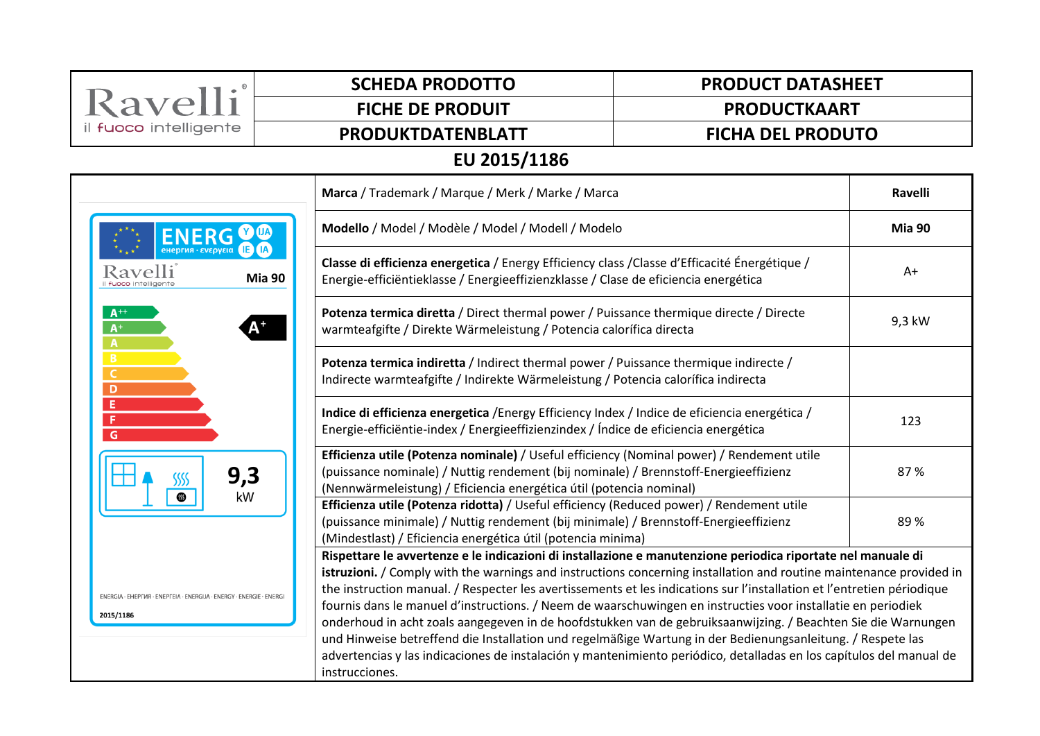| Ravelli                                                                          | <b>SCHEDA PRODOTTO</b>                                                                                                                                                                                                                                   | <b>PRODUCT DATASHEET</b>                                                                                                                                                                                                                                                                                                                                                                                                                                                                                                                                                                                                                                                                                                                                                                                                            |  |  |  |
|----------------------------------------------------------------------------------|----------------------------------------------------------------------------------------------------------------------------------------------------------------------------------------------------------------------------------------------------------|-------------------------------------------------------------------------------------------------------------------------------------------------------------------------------------------------------------------------------------------------------------------------------------------------------------------------------------------------------------------------------------------------------------------------------------------------------------------------------------------------------------------------------------------------------------------------------------------------------------------------------------------------------------------------------------------------------------------------------------------------------------------------------------------------------------------------------------|--|--|--|
|                                                                                  | <b>FICHE DE PRODUIT</b>                                                                                                                                                                                                                                  | <b>PRODUCTKAART</b>                                                                                                                                                                                                                                                                                                                                                                                                                                                                                                                                                                                                                                                                                                                                                                                                                 |  |  |  |
| il fuoco intelligente                                                            | PRODUKTDATENBLATT                                                                                                                                                                                                                                        | <b>FICHA DEL PRODUTO</b>                                                                                                                                                                                                                                                                                                                                                                                                                                                                                                                                                                                                                                                                                                                                                                                                            |  |  |  |
| EU 2015/1186                                                                     |                                                                                                                                                                                                                                                          |                                                                                                                                                                                                                                                                                                                                                                                                                                                                                                                                                                                                                                                                                                                                                                                                                                     |  |  |  |
| Marca / Trademark / Marque / Merk / Marke / Marca                                |                                                                                                                                                                                                                                                          | <b>Ravelli</b>                                                                                                                                                                                                                                                                                                                                                                                                                                                                                                                                                                                                                                                                                                                                                                                                                      |  |  |  |
|                                                                                  | Modello / Model / Modèle / Model / Modell / Modelo                                                                                                                                                                                                       | Mia 90                                                                                                                                                                                                                                                                                                                                                                                                                                                                                                                                                                                                                                                                                                                                                                                                                              |  |  |  |
| Ravelli                                                                          | Classe di efficienza energetica / Energy Efficiency class / Classe d'Efficacité Énergétique /<br>Mia 90<br>Energie-efficiëntieklasse / Energieeffizienzklasse / Clase de eficiencia energética                                                           | $A+$                                                                                                                                                                                                                                                                                                                                                                                                                                                                                                                                                                                                                                                                                                                                                                                                                                |  |  |  |
| $A^+$<br>$A^+$<br>А                                                              | Potenza termica diretta / Direct thermal power / Puissance thermique directe / Directe<br>warmteafgifte / Direkte Wärmeleistung / Potencia calorífica directa                                                                                            | 9,3 kW                                                                                                                                                                                                                                                                                                                                                                                                                                                                                                                                                                                                                                                                                                                                                                                                                              |  |  |  |
| B<br>C<br>D                                                                      | Potenza termica indiretta / Indirect thermal power / Puissance thermique indirecte /<br>Indirecte warmteafgifte / Indirekte Wärmeleistung / Potencia calorífica indirecta                                                                                |                                                                                                                                                                                                                                                                                                                                                                                                                                                                                                                                                                                                                                                                                                                                                                                                                                     |  |  |  |
| E<br>G                                                                           | Indice di efficienza energetica / Energy Efficiency Index / Indice de eficiencia energética /<br>Energie-efficiëntie-index / Energieeffizienzindex / Índice de eficiencia energética                                                                     | 123                                                                                                                                                                                                                                                                                                                                                                                                                                                                                                                                                                                                                                                                                                                                                                                                                                 |  |  |  |
| 9,3<br>kW<br>ை                                                                   | Efficienza utile (Potenza nominale) / Useful efficiency (Nominal power) / Rendement utile<br>(puissance nominale) / Nuttig rendement (bij nominale) / Brennstoff-Energieeffizienz<br>(Nennwärmeleistung) / Eficiencia energética útil (potencia nominal) | 87%                                                                                                                                                                                                                                                                                                                                                                                                                                                                                                                                                                                                                                                                                                                                                                                                                                 |  |  |  |
|                                                                                  | Efficienza utile (Potenza ridotta) / Useful efficiency (Reduced power) / Rendement utile<br>(puissance minimale) / Nuttig rendement (bij minimale) / Brennstoff-Energieeffizienz<br>(Mindestlast) / Eficiencia energética útil (potencia minima)         | 89%                                                                                                                                                                                                                                                                                                                                                                                                                                                                                                                                                                                                                                                                                                                                                                                                                                 |  |  |  |
| ENERGIA - EHEPFIJA - ENEPFEIA - ENERGIJA - ENERGY - ENERGIE - ENERG<br>2015/1186 | instrucciones.                                                                                                                                                                                                                                           | Rispettare le avvertenze e le indicazioni di installazione e manutenzione periodica riportate nel manuale di<br>istruzioni. / Comply with the warnings and instructions concerning installation and routine maintenance provided in<br>the instruction manual. / Respecter les avertissements et les indications sur l'installation et l'entretien périodique<br>fournis dans le manuel d'instructions. / Neem de waarschuwingen en instructies voor installatie en periodiek<br>onderhoud in acht zoals aangegeven in de hoofdstukken van de gebruiksaanwijzing. / Beachten Sie die Warnungen<br>und Hinweise betreffend die Installation und regelmäßige Wartung in der Bedienungsanleitung. / Respete las<br>advertencias y las indicaciones de instalación y mantenimiento periódico, detalladas en los capítulos del manual de |  |  |  |